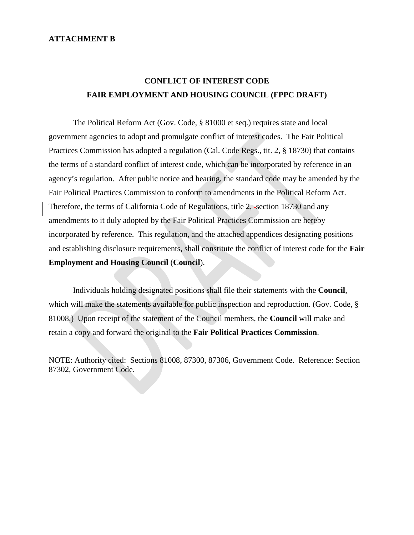#### **ATTACHMENT B**

# **CONFLICT OF INTEREST CODE FAIR EMPLOYMENT AND HOUSING COUNCIL (FPPC DRAFT)**

The Political Reform Act (Gov. Code, § 81000 et seq.) requires state and local government agencies to adopt and promulgate conflict of interest codes. The Fair Political Practices Commission has adopted a regulation (Cal. Code Regs., tit. 2, § 18730) that contains the terms of a standard conflict of interest code, which can be incorporated by reference in an agency's regulation. After public notice and hearing, the standard code may be amended by the Fair Political Practices Commission to conform to amendments in the Political Reform Act. Therefore, the terms of California Code of Regulations, title 2, -section 18730 and any amendments to it duly adopted by the Fair Political Practices Commission are hereby incorporated by reference. This regulation, and the attached appendices designating positions and establishing disclosure requirements, shall constitute the conflict of interest code for the **Fair Employment and Housing Council** (**Council**).

Individuals holding designated positions shall file their statements with the **Council**, which will make the statements available for public inspection and reproduction. (Gov. Code, § 81008.) Upon receipt of the statement of the Council members, the **Council** will make and retain a copy and forward the original to the **Fair Political Practices Commission**.

NOTE: Authority cited: Sections 81008, 87300, 87306, Government Code. Reference: Section 87302, Government Code.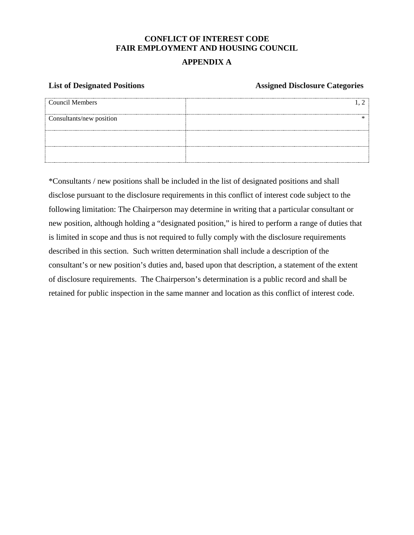# **CONFLICT OF INTEREST CODE FAIR EMPLOYMENT AND HOUSING COUNCIL**

# **APPENDIX A**

#### **List of Designated Positions Assigned Disclosure Categories**

| Council Members              |  |
|------------------------------|--|
| Consultants/new position<br> |  |
|                              |  |
|                              |  |

\*Consultants / new positions shall be included in the list of designated positions and shall disclose pursuant to the disclosure requirements in this conflict of interest code subject to the following limitation: The Chairperson may determine in writing that a particular consultant or new position, although holding a "designated position," is hired to perform a range of duties that is limited in scope and thus is not required to fully comply with the disclosure requirements described in this section. Such written determination shall include a description of the consultant's or new position's duties and, based upon that description, a statement of the extent of disclosure requirements. The Chairperson's determination is a public record and shall be retained for public inspection in the same manner and location as this conflict of interest code.